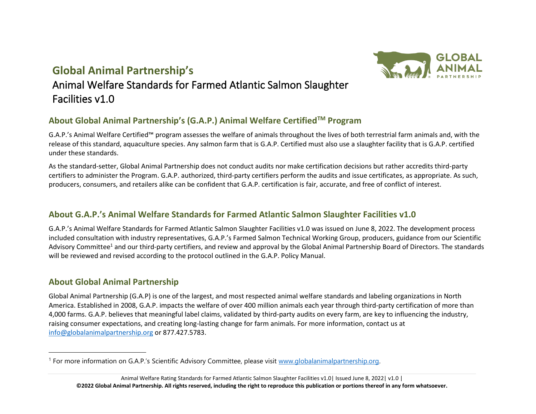## **Global Animal Partnership's**



# Animal Welfare Standards for Farmed Atlantic Salmon Slaughter Facilities v1.0

## **About Global Animal Partnership's (G.A.P.) Animal Welfare CertifiedTM Program**

G.A.P.'s Animal Welfare Certified™ program assesses the welfare of animals throughout the lives of both terrestrial farm animals and, with the release of this standard, aquaculture species. Any salmon farm that is G.A.P. Certified must also use a slaughter facility that is G.A.P. certified under these standards.

As the standard-setter, Global Animal Partnership does not conduct audits nor make certification decisions but rather accredits third-party certifiers to administer the Program. G.A.P. authorized, third-party certifiers perform the audits and issue certificates, as appropriate. As such, producers, consumers, and retailers alike can be confident that G.A.P. certification is fair, accurate, and free of conflict of interest.

## **About G.A.P.'s Animal Welfare Standards for Farmed Atlantic Salmon Slaughter Facilities v1.0**

G.A.P.'s Animal Welfare Standards for Farmed Atlantic Salmon Slaughter Facilities v1.0 was issued on June 8, 2022. The development process included consultation with industry representatives, G.A.P.'s Farmed Salmon Technical Working Group, producers, guidance from our Scientific Advisory Committee<sup>1</sup> and our third-party certifiers, and review and approval by the Global Animal Partnership Board of Directors. The standards will be reviewed and revised according to the protocol outlined in the G.A.P. Policy Manual.

## **About Global Animal Partnership**

Global Animal Partnership (G.A.P) is one of the largest, and most respected animal welfare standards and labeling organizations in North America. Established in 2008, G.A.P. impacts the welfare of over 400 million animals each year through third-party certification of more than 4,000 farms. G.A.P. believes that meaningful label claims, validated by third-party audits on every farm, are key to influencing the industry, raising consumer expectations, and creating long-lasting change for farm animals. For more information, contact us at [info@globalanimalpartnership.org](mailto:info@globalanimalpartnership.org) or 877.427.5783.

<sup>&</sup>lt;sup>1</sup> For more information on G.A.P.'s Scientific Advisory Committee, please visit [www.globalanimalpartnership.org.](http://www.globalanimalpartnership.org/)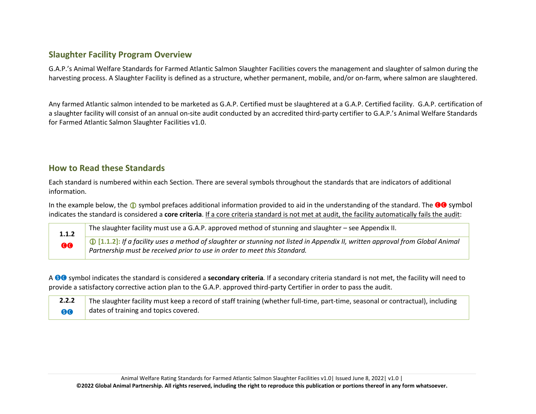## **Slaughter Facility Program Overview**

G.A.P.'s Animal Welfare Standards for Farmed Atlantic Salmon Slaughter Facilities covers the management and slaughter of salmon during the harvesting process. A Slaughter Facility is defined as a structure, whether permanent, mobile, and/or on-farm, where salmon are slaughtered.

Any farmed Atlantic salmon intended to be marketed as G.A.P. Certified must be slaughtered at a G.A.P. Certified facility. G.A.P. certification of a slaughter facility will consist of an annual on-site audit conducted by an accredited third-party certifier to G.A.P.'s Animal Welfare Standards for Farmed Atlantic Salmon Slaughter Facilities v1.0.

#### **How to Read these Standards**

Each standard is numbered within each Section. There are several symbols throughout the standards that are indicators of additional information.

In the example below, the  $\bf{0}$  symbol prefaces additional information provided to aid in the understanding of the standard. The  $\bf{00}$  symbol indicates the standard is considered a **core criteria**. If a core criteria standard is not met at audit, the facility automatically fails the audit:

**1.1.2 GQ** The slaughter facility must use a G.A.P. approved method of stunning and slaughter – see Appendix II. **[1.1.2]:** *If a facility uses a method of slaughter or stunning not listed in Appendix II, written approval from Global Animal Partnership must be received prior to use in order to meet this Standard.*

A SC symbol indicates the standard is considered a **secondary criteria***.* If a secondary criteria standard is not met, the facility will need to provide a satisfactory corrective action plan to the G.A.P. approved third-party Certifier in order to pass the audit.

| 2.2.2 | The slaughter facility must keep a record of staff training (whether full-time, part-time, seasonal or contractual), including |
|-------|--------------------------------------------------------------------------------------------------------------------------------|
| 80    | dates of training and topics covered.                                                                                          |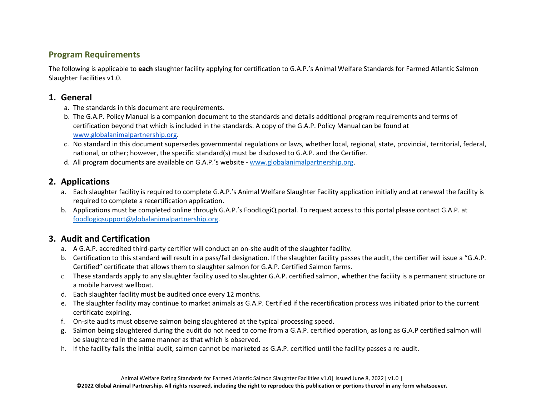#### **Program Requirements**

The following is applicable to **each** slaughter facility applying for certification to G.A.P.'s Animal Welfare Standards for Farmed Atlantic Salmon Slaughter Facilities v1.0.

## **1. General**

- a. The standards in this document are requirements.
- b. The G.A.P. Policy Manual is a companion document to the standards and details additional program requirements and terms of certification beyond that which is included in the standards. A copy of the G.A.P. Policy Manual can be found at [www.globalanimalpartnership.org.](http://www.globalanimalpartnership.org/)
- c. No standard in this document supersedes governmental regulations or laws, whether local, regional, state, provincial, territorial, federal, national, or other; however, the specific standard(s) must be disclosed to G.A.P. and the Certifier.
- d. All program documents are available on G.A.P.'s website [www.globalanimalpartnership.org.](http://www.globalanimalpartnership.org/)

## **2. Applications**

- a. Each slaughter facility is required to complete G.A.P.'s Animal Welfare Slaughter Facility application initially and at renewal the facility is required to complete a recertification application.
- b. Applications must be completed online through G.A.P.'s FoodLogiQ portal. To request access to this portal please contact G.A.P. at [foodlogiqsupport@globalanimalpartnership.org.](mailto:foodlogiqsupport@globalanimalpartnership.org)

## **3. Audit and Certification**

- a. A G.A.P. accredited third-party certifier will conduct an on-site audit of the slaughter facility.
- b. Certification to this standard will result in a pass/fail designation. If the slaughter facility passes the audit, the certifier will issue a "G.A.P. Certified" certificate that allows them to slaughter salmon for G.A.P. Certified Salmon farms.
- c. These standards apply to any slaughter facility used to slaughter G.A.P. certified salmon, whether the facility is a permanent structure or a mobile harvest wellboat.
- d. Each slaughter facility must be audited once every 12 months.
- e. The slaughter facility may continue to market animals as G.A.P. Certified if the recertification process was initiated prior to the current certificate expiring.
- f. On-site audits must observe salmon being slaughtered at the typical processing speed.
- g. Salmon being slaughtered during the audit do not need to come from a G.A.P. certified operation, as long as G.A.P certified salmon will be slaughtered in the same manner as that which is observed.
- h. If the facility fails the initial audit, salmon cannot be marketed as G.A.P. certified until the facility passes a re-audit.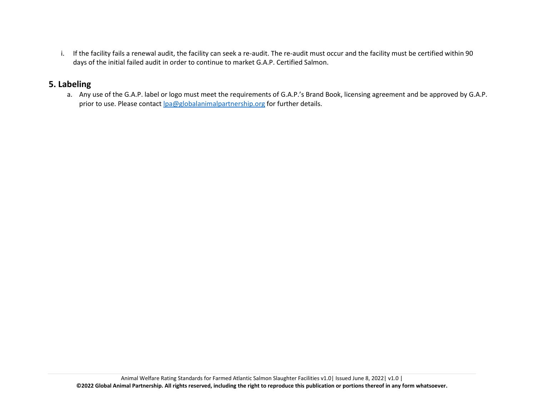i. If the facility fails a renewal audit, the facility can seek a re-audit. The re-audit must occur and the facility must be certified within 90 days of the initial failed audit in order to continue to market G.A.P. Certified Salmon.

#### **5. Labeling**

a. Any use of the G.A.P. label or logo must meet the requirements of G.A.P.'s Brand Book, licensing agreement and be approved by G.A.P. prior to use. Please contact [lpa@globalanimalpartnership.org](mailto:lpa@globalanimalpartnership.org) for further details.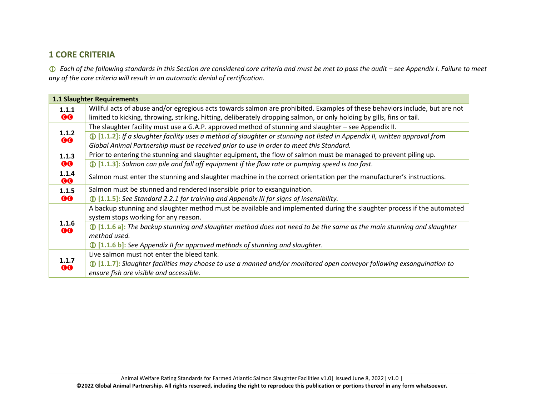## **1 CORE CRITERIA**

 *Each of the following standards in this Section are considered core criteria and must be met to pass the audit – see Appendix I. Failure to meet any of the core criteria will result in an automatic denial of certification.*

|                    | <b>1.1 Slaughter Requirements</b>                                                                                                    |
|--------------------|--------------------------------------------------------------------------------------------------------------------------------------|
| 1.1.1              | Willful acts of abuse and/or egregious acts towards salmon are prohibited. Examples of these behaviors include, but are not          |
| <b>GG</b>          | limited to kicking, throwing, striking, hitting, deliberately dropping salmon, or only holding by gills, fins or tail.               |
| 1.1.2<br><b>GG</b> | The slaughter facility must use a G.A.P. approved method of stunning and slaughter – see Appendix II.                                |
|                    | $\bigoplus$ [1.1.2]: If a slaughter facility uses a method of slaughter or stunning not listed in Appendix II, written approval from |
|                    | Global Animal Partnership must be received prior to use in order to meet this Standard.                                              |
| 1.1.3              | Prior to entering the stunning and slaughter equipment, the flow of salmon must be managed to prevent piling up.                     |
| <b>00</b>          | $\bigoplus$ [1.1.3]: Salmon can pile and fall off equipment if the flow rate or pumping speed is too fast.                           |
| 1.1.4<br><b>00</b> | Salmon must enter the stunning and slaughter machine in the correct orientation per the manufacturer's instructions.                 |
| 1.1.5<br><b>GG</b> | Salmon must be stunned and rendered insensible prior to exsanguination.                                                              |
|                    | $\bigcirc$ [1.1.5]: See Standard 2.2.1 for training and Appendix III for signs of insensibility.                                     |
|                    | A backup stunning and slaughter method must be available and implemented during the slaughter process if the automated               |
|                    | system stops working for any reason.                                                                                                 |
| 1.1.6<br><b>GO</b> | $\bigcirc$ [1.1.6 a]: The backup stunning and slaughter method does not need to be the same as the main stunning and slaughter       |
|                    | method used.                                                                                                                         |
|                    | <b><i>I</i></b> [1.1.6 b]: See Appendix II for approved methods of stunning and slaughter.                                           |
|                    | Live salmon must not enter the bleed tank.                                                                                           |
| 1.1.7<br><b>GG</b> | $\bigoplus$ [1.1.7]: Slaughter facilities may choose to use a manned and/or monitored open conveyor following exsanguination to      |
|                    | ensure fish are visible and accessible.                                                                                              |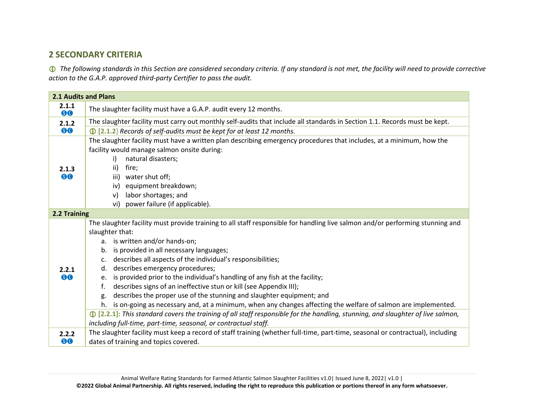## **2 SECONDARY CRITERIA**

 *The following standards in this Section are considered secondary criteria. If any standard is not met, the facility will need to provide corrective action to the G.A.P. approved third-party Certifier to pass the audit.*

| <b>2.1 Audits and Plans</b> |                                                                                                                                          |  |  |
|-----------------------------|------------------------------------------------------------------------------------------------------------------------------------------|--|--|
| 2.1.1<br>80                 | The slaughter facility must have a G.A.P. audit every 12 months.                                                                         |  |  |
| 2.1.2                       | The slaughter facility must carry out monthly self-audits that include all standards in Section 1.1. Records must be kept.               |  |  |
| 80                          | 12 [2.1.2] Records of self-audits must be kept for at least 12 months.                                                                   |  |  |
|                             | The slaughter facility must have a written plan describing emergency procedures that includes, at a minimum, how the                     |  |  |
|                             | facility would manage salmon onsite during:                                                                                              |  |  |
|                             | natural disasters;<br>i)                                                                                                                 |  |  |
| 2.1.3                       | ii)<br>fire;                                                                                                                             |  |  |
| 80                          | iii) water shut off;                                                                                                                     |  |  |
|                             | equipment breakdown;<br>iv)                                                                                                              |  |  |
|                             | labor shortages; and<br>v)                                                                                                               |  |  |
|                             | vi) power failure (if applicable).                                                                                                       |  |  |
| 2.2 Training                |                                                                                                                                          |  |  |
|                             | The slaughter facility must provide training to all staff responsible for handling live salmon and/or performing stunning and            |  |  |
|                             | slaughter that:                                                                                                                          |  |  |
|                             | a. is written and/or hands-on;                                                                                                           |  |  |
|                             | is provided in all necessary languages;<br>b.                                                                                            |  |  |
|                             | describes all aspects of the individual's responsibilities;<br>$\mathsf{C}$ .                                                            |  |  |
| 2.2.1                       | describes emergency procedures;<br>d.                                                                                                    |  |  |
| 80                          | is provided prior to the individual's handling of any fish at the facility;<br>e.                                                        |  |  |
|                             | describes signs of an ineffective stun or kill (see Appendix III);<br>f.                                                                 |  |  |
|                             | describes the proper use of the stunning and slaughter equipment; and<br>g.                                                              |  |  |
|                             | h. is on-going as necessary and, at a minimum, when any changes affecting the welfare of salmon are implemented.                         |  |  |
|                             | $\bigcirc$ [2.2.1]: This standard covers the training of all staff responsible for the handling, stunning, and slaughter of live salmon, |  |  |
|                             | including full-time, part-time, seasonal, or contractual staff.                                                                          |  |  |
| 2.2.2                       | The slaughter facility must keep a record of staff training (whether full-time, part-time, seasonal or contractual), including           |  |  |
| 80                          | dates of training and topics covered.                                                                                                    |  |  |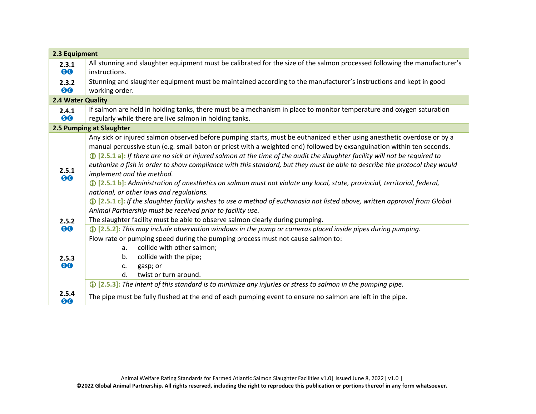| 2.3 Equipment     |                                                                                                                                   |  |  |  |
|-------------------|-----------------------------------------------------------------------------------------------------------------------------------|--|--|--|
| 2.3.1             | All stunning and slaughter equipment must be calibrated for the size of the salmon processed following the manufacturer's         |  |  |  |
| 80                | instructions.                                                                                                                     |  |  |  |
| 2.3.2             | Stunning and slaughter equipment must be maintained according to the manufacturer's instructions and kept in good                 |  |  |  |
| 80                | working order.                                                                                                                    |  |  |  |
| 2.4 Water Quality |                                                                                                                                   |  |  |  |
| 2.4.1             | If salmon are held in holding tanks, there must be a mechanism in place to monitor temperature and oxygen saturation              |  |  |  |
| 80                | regularly while there are live salmon in holding tanks.                                                                           |  |  |  |
|                   | 2.5 Pumping at Slaughter                                                                                                          |  |  |  |
|                   | Any sick or injured salmon observed before pumping starts, must be euthanized either using anesthetic overdose or by a            |  |  |  |
|                   | manual percussive stun (e.g. small baton or priest with a weighted end) followed by exsanguination within ten seconds.            |  |  |  |
|                   | 10 [2.5.1 a]: If there are no sick or injured salmon at the time of the audit the slaughter facility will not be required to      |  |  |  |
|                   | euthanize a fish in order to show compliance with this standard, but they must be able to describe the protocol they would        |  |  |  |
| 2.5.1<br>80       | implement and the method.                                                                                                         |  |  |  |
|                   | <b>1</b> [2.5.1 b]: Administration of anesthetics on salmon must not violate any local, state, provincial, territorial, federal,  |  |  |  |
|                   | national, or other laws and regulations.                                                                                          |  |  |  |
|                   | <b>1</b> [2.5.1 c]: If the slaughter facility wishes to use a method of euthanasia not listed above, written approval from Global |  |  |  |
|                   | Animal Partnership must be received prior to facility use.                                                                        |  |  |  |
| 2.5.2             | The slaughter facility must be able to observe salmon clearly during pumping.                                                     |  |  |  |
| 80                | $\bigcirc$ [2.5.2]: This may include observation windows in the pump or cameras placed inside pipes during pumping.               |  |  |  |
|                   | Flow rate or pumping speed during the pumping process must not cause salmon to:                                                   |  |  |  |
|                   | collide with other salmon;<br>a.                                                                                                  |  |  |  |
| 2.5.3             | collide with the pipe;<br>b.                                                                                                      |  |  |  |
| 80                | gasp; or<br>c.                                                                                                                    |  |  |  |
|                   | d.<br>twist or turn around.                                                                                                       |  |  |  |
|                   | $\bigcirc$ [2.5.3]: The intent of this standard is to minimize any injuries or stress to salmon in the pumping pipe.              |  |  |  |
| 2.5.4<br>80       | The pipe must be fully flushed at the end of each pumping event to ensure no salmon are left in the pipe.                         |  |  |  |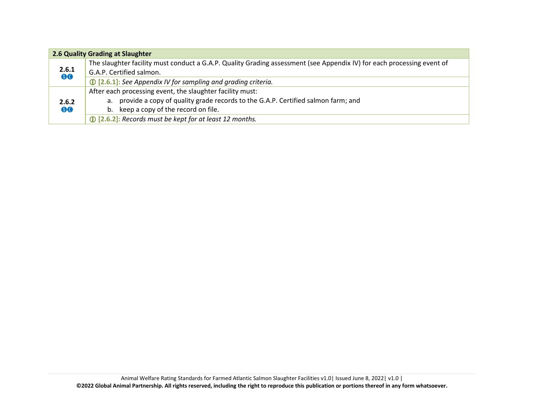| 2.6 Quality Grading at Slaughter |                                                                                                                        |  |  |
|----------------------------------|------------------------------------------------------------------------------------------------------------------------|--|--|
| 2.6.1<br>80                      | The slaughter facility must conduct a G.A.P. Quality Grading assessment (see Appendix IV) for each processing event of |  |  |
|                                  | G.A.P. Certified salmon.                                                                                               |  |  |
|                                  | <b>1</b> [2.6.1]: See Appendix IV for sampling and grading criteria.                                                   |  |  |
| 2.6.2<br>80                      | After each processing event, the slaughter facility must:                                                              |  |  |
|                                  | a. provide a copy of quality grade records to the G.A.P. Certified salmon farm; and                                    |  |  |
|                                  | b. keep a copy of the record on file.                                                                                  |  |  |
|                                  | 12 [2.6.2]: Records must be kept for at least 12 months.                                                               |  |  |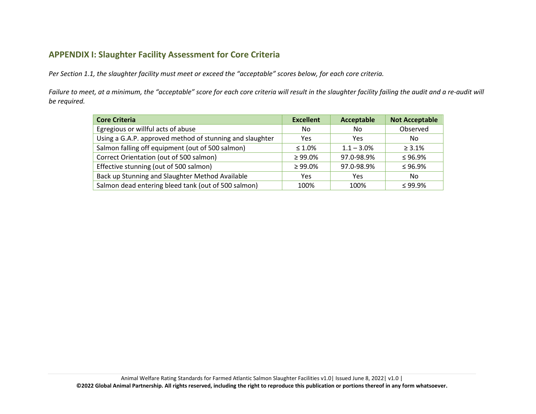## **APPENDIX I: Slaughter Facility Assessment for Core Criteria**

*Per Section 1.1, the slaughter facility must meet or exceed the "acceptable" scores below, for each core criteria.* 

*Failure to meet, at a minimum, the "acceptable" score for each core criteria will result in the slaughter facility failing the audit and a re-audit will be required.* 

| <b>Core Criteria</b>                                     | <b>Excellent</b> | Acceptable    | <b>Not Acceptable</b> |
|----------------------------------------------------------|------------------|---------------|-----------------------|
| Egregious or willful acts of abuse                       | No.              | No.           | Observed              |
| Using a G.A.P. approved method of stunning and slaughter | Yes              | Yes           | No.                   |
| Salmon falling off equipment (out of 500 salmon)         | $\leq 1.0\%$     | $1.1 - 3.0\%$ | $\geq 3.1\%$          |
| Correct Orientation (out of 500 salmon)                  | $\geq 99.0\%$    | 97.0-98.9%    | $\leq$ 96.9%          |
| Effective stunning (out of 500 salmon)                   | $\geq 99.0\%$    | 97.0-98.9%    | $\leq 96.9\%$         |
| Back up Stunning and Slaughter Method Available          | Yes              | Yes           | No.                   |
| Salmon dead entering bleed tank (out of 500 salmon)      | 100%             | 100%          | $< 99.9\%$            |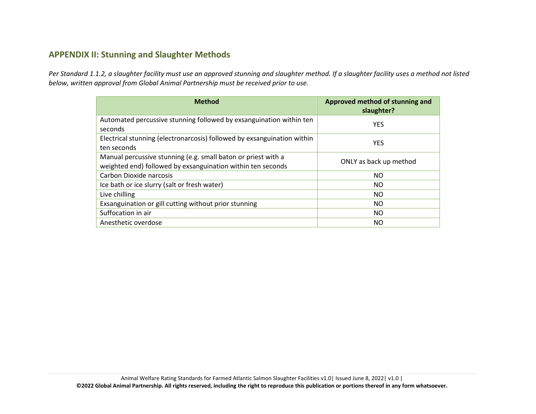### **APPENDIX II: Stunning and Slaughter Methods**

*Per Standard 1.1.2, a slaughter facility must use an approved stunning and slaughter method. If a slaughter facility uses a method not listed below, written approval from Global Animal Partnership must be received prior to use.*

| <b>Method</b>                                                                                                                | Approved method of stunning and<br>slaughter? |
|------------------------------------------------------------------------------------------------------------------------------|-----------------------------------------------|
| Automated percussive stunning followed by exsanguination within ten<br>seconds                                               | <b>YES</b>                                    |
| Electrical stunning (electronarcosis) followed by exsanguination within<br>ten seconds                                       | <b>YES</b>                                    |
| Manual percussive stunning (e.g. small baton or priest with a<br>weighted end) followed by exsanguination within ten seconds | ONLY as back up method                        |
| Carbon Dioxide narcosis                                                                                                      | NO.                                           |
| Ice bath or ice slurry (salt or fresh water)                                                                                 | NO.                                           |
| Live chilling                                                                                                                | NO.                                           |
| Exsanguination or gill cutting without prior stunning                                                                        | NO.                                           |
| Suffocation in air                                                                                                           | NO.                                           |
| Anesthetic overdose                                                                                                          | NO.                                           |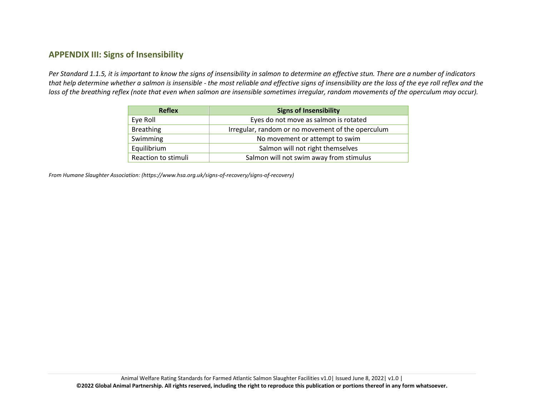## **APPENDIX III: Signs of Insensibility**

*Per Standard 1.1.5, it is important to know the signs of insensibility in salmon to determine an effective stun. There are a number of indicators that help determine whether a salmon is insensible - the most reliable and effective signs of insensibility are the loss of the eye roll reflex and the loss of the breathing reflex (note that even when salmon are insensible sometimes irregular, random movements of the operculum may occur).*

| <b>Reflex</b>       | <b>Signs of Insensibility</b>                     |
|---------------------|---------------------------------------------------|
| Eye Roll            | Eyes do not move as salmon is rotated             |
| <b>Breathing</b>    | Irregular, random or no movement of the operculum |
| Swimming            | No movement or attempt to swim                    |
| Equilibrium         | Salmon will not right themselves                  |
| Reaction to stimuli | Salmon will not swim away from stimulus           |

*From Humane Slaughter Association: (https://www.hsa.org.uk/signs-of-recovery/signs-of-recovery)*